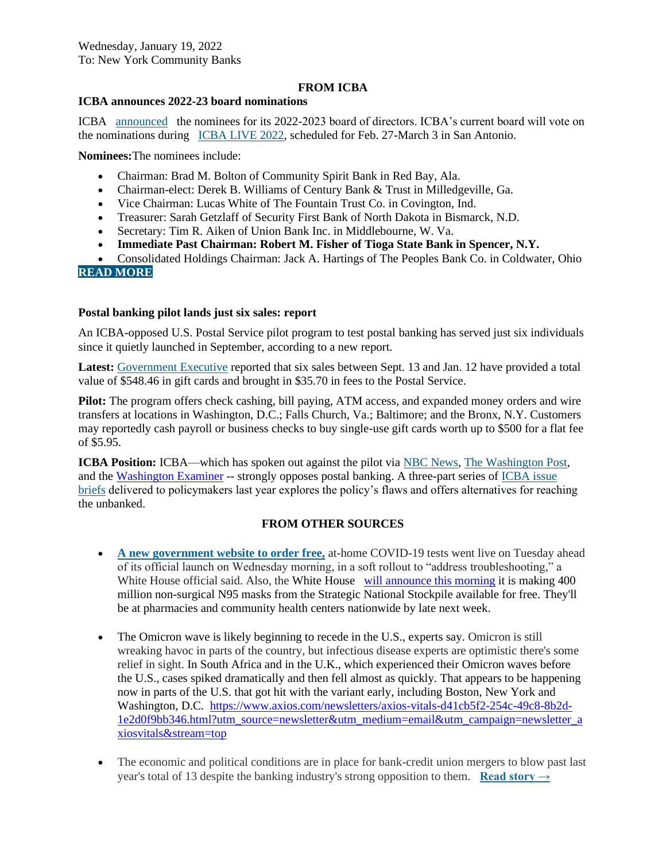### **FROM ICBA**

# **ICBA announces 2022-23 board nominations**

ICBA [announced](https://email.icba.org/e3t/Btc/ZS+113/cBPxD04/VX25RY13rPydVFMLKl4pFHsHW8tMMP_4DvhBPN4CDgfV3q3pBV1-WJV7CgPyRW8tMw9z2X5dpNW2WlW-_91vRXwW1r4T343ytDhWW3_H0VX6vvws7W80y5Ff64dX3DVPS4qt8JqsGzW54P86g6rFPJ7W51hJrh6L4P7yW87MD9w3ZvXP3W4SLpKQ8pGbgcW1GgpbY1dPPJHW7qp2bc6HmJYrW7BZ6JC7pDKMTW8VJ4lW6tnlzfW25S1ZZ4NhswWW9bCVZ-4C9CvgW3Pj5Cf75W-f_W6w1RBy90G1xZW4vFN6S1BnYmhW4CdmMm2Pw9jTW8hL4Zn8PgT76VbFfQ94HMFd3W1q3Qx7857xncW70v3_n14QmqsVXRV6y77tN2WW51fBcP3rTzydW2qwJXl1VrHpxW2Dxs593vbyy2W97vQps61Xp-6W3JFvMt7pfP-z365s1) the nominees for its 2022-2023 board of directors. ICBA's current board will vote on the nominations during [ICBA LIVE 2022,](https://email.icba.org/e3t/Btc/ZS+113/cBPxD04/VX25RY13rPydVFMLKl4pFHsHW8tMMP_4DvhBPN4CDgdp3q3n5V1-WJV7CgRQTW28F5423bPbSxW5xLrmg3lHtn-W2LNksv1jMj2BW6pZXlW39nMXPW4ZZ86m4tTk5pN1JqHVGpYZtHW3JG_Hg6QjJf_W8fRvy14zd8D5N13tLwByPT6nW3rPtrJ5H4J-qW1f7SKn6KYDbSW797cLN7H-yGHW7l7M9c3MrDxCV92lHm3GfXJDVf8cRz7lzYSfN19W72_gRH3CW5w-hZt7R_XXdW5lQSVj7bD8LGW1G3k2R5crD1FW8XRyfF2yzq642_p1) scheduled for Feb. 27-March 3 in San Antonio.

**Nominees:**The nominees include:

- Chairman: Brad M. Bolton of Community Spirit Bank in Red Bay, Ala.
- Chairman-elect: Derek B. Williams of Century Bank & Trust in Milledgeville, Ga.
- Vice Chairman: Lucas White of The Fountain Trust Co. in Covington, Ind.
- Treasurer: Sarah Getzlaff of Security First Bank of North Dakota in Bismarck, N.D.
- Secretary: Tim R. Aiken of Union Bank Inc. in Middlebourne, W. Va.
- **Immediate Past Chairman: Robert M. Fisher of Tioga State Bank in Spencer, N.Y.**
- Consolidated Holdings Chairman: Jack A. Hartings of The Peoples Bank Co. in Coldwater, Ohio **[READ MORE](https://email.icba.org/e3t/Btc/ZS+113/cBPxD04/VX25RY13rPydVFMLKl4pFHsHW8tMMP_4DvhBPN4CDgfV3q3pBV1-WJV7CgMRYW1ZW8_b20hswKW8DZPJn8mv5QZN8bCGH6fTPbTW5pZ3d45zgPxGW8bKgQH7ft8mNW2RHBnM53qFp7W4sMg_15NvzS_W8K4y-72t1jhNW5M9HDS3C1vCDW80Qhgg2Xp8QPW5z-qJZ2zwGBfW907Q5K2FDyy7W82cp-w3FptcKV4x40041q_Z8N1dLbqjVnw_NMN-Xkflkn3GN3sFtd4m1-46W6WGq-g7MZ8S-W6xF3LX7fcy2VW3dfkGG8RxcGZW4Cz5Hv6rzstDW5fY8jL8CkFcZVKxF418y0g_rN8ccP7PRqMSkN2Sf38HNvDhRW4hzsGl7j2kR9W1qP8x05MbKyYW599sls5bqYjKW2rbp_w9jHtQNW2R6l9s17nFQK3lgn1)**

### **Postal banking pilot lands just six sales: report**

An ICBA-opposed U.S. Postal Service pilot program to test postal banking has served just six individuals since it quietly launched in September, according to a new report.

**Latest:** [Government Executive](https://email.icba.org/e3t/Btc/ZS+113/cBPxD04/VX25RY13rPydVFMLKl4pFHsHW8tMMP_4DvhBPN4CDgd55nCT_V3Zsc37CgRcMW79Xq_j9kbsSDW5-y7c74_qhxMW29slVq3Rbw3WW3-P1Ln3VKXRqN3mwJV4hj-cXW2s2k0n5H8WBYN88ldfKY3BDQW8gJdhB2YxmqRW6Qpc5S2pcwyzW10dcvF6pKZwTW2927XR1vblW-W4-6J834ZY5V7VbjphF6mp1pVW42t83l8G6MN4W8f31CM8C_R-YW3C9DqV17wqp3W4XlXvY1l90WnW8dpN639hQry2W7lC2mW3y4yf1W4ngSTl6g2KKGW44bhDK99pT_fW3tQx-071lXl_W7jvvR55RvpYTW6HsL2D1-zvwXV5b-6T8jjYjpW8jSZcz6jMKCsW5kZqQ03XbxxzW2BjJQF3ZgKTLW8Gs4Yl5Dj5tCW6KnDcJ3hZR9qW1z1-0X1305RxW5SM59Q4Wcs9sVVt75j7RZbQQW8Lm25y7pK_h13gBb1) reported that six sales between Sept. 13 and Jan. 12 have provided a total value of \$548.46 in gift cards and brought in \$35.70 in fees to the Postal Service.

**Pilot:** The program offers check cashing, bill paying, ATM access, and expanded money orders and wire transfers at locations in Washington, D.C.; Falls Church, Va.; Baltimore; and the Bronx, N.Y. Customers may reportedly cash payroll or business checks to buy single-use gift cards worth up to \$500 for a flat fee of \$5.95.

**ICBA Position:** ICBA—which has spoken out against the pilot via [NBC News,](https://email.icba.org/e3t/Btc/ZS+113/cBPxD04/VX25RY13rPydVFMLKl4pFHsHW8tMMP_4DvhBPN4CDgcQ5nCTJV3Zsc37CgWljW252T1Q4zh_wxW8SQQxn4F39D3W6K07Tj8_j-N0W73-_8b1cLFmGW4mpnnV5jSTzvN4K8r6XYTkLSW8K9VML6bKkg9W46sRw17g7p6hW81kfCG8DD6cSW7KlMFC2z5WjGVlTXT43vbCDqW29wDBj6nKRRhW6gJY3v70x-gNN30xNJc3N9JMW7SDSN64xF9StW5_bBH18dN0VrW45K5zs7KCn59W4r_8_X7l1ZxtW6QQl5T44JlTdW8yZHXS57bx6NW1L2l-r8KW5yMW2yjdtt9gbFP_W2FM2fb2DTPDfW6jMj3b8vFrGYW8wTNw-2__1r9W5Qj_KD1VbS-pW7nQL3G6FspjrW6Nh05D3JBky6W6Jxdb079xHSRW2p7-6B5qmjk9W5ml1Xn1bXZgQV8zb3-3jJ4Ct37Zj1) [The Washington Post,](https://email.icba.org/e3t/Btc/ZS+113/cBPxD04/VX25RY13rPydVFMLKl4pFHsHW8tMMP_4DvhBPN4CDgfh3q3n_V1-WJV7CgRZLW4TSqXC7LfNNLW4pGFpN6dGXS4W11zmzj1vQbW6Vjc55V5ycGpgW8hD3bm4MnnlRW3dV9K-7k_BBxW8h0fHX1dpdj0W2pbWL181yYHNW4ZKDgl2WqCD7W9b4n9D4nvkxbW122xGm4zfyTTW5XmnmK8lFMP1W97HNS83_Bzl_N18F-fVCC9MGW4bcD3s1x8qw7W92ccBS155K4sW8Q1Llc3DjkD0W4P-mYT6spQwpN5NWsK7kDJHMW39TD5v6jXz_tW542G9L3MhkXnW6tvPPQ1pVcGzW76bV6J190Ws_W1Q6ZgB35nzT5N6QYgn9jr5prW95KxKl21pl2X3dVq1) and the [Washington Examiner](https://email.icba.org/e3t/Btc/ZS+113/cBPxD04/VX25RY13rPydVFMLKl4pFHsHW8tMMP_4DvhBPN4CDgfh3q3n_V1-WJV7CgQKyVlBj_s4TC6txW229cNM2hHbq0N1wQLX8mlz-GVTZRxB51MNg9W2cVLgW15bxzSW3QLr7w1KvJ8RW8sYd-q51KGV0W6_rS5J8z46VVW8SW7df1C-NSyW8SpWw13S5SxSW3X27Tg8V3bVSW9dV1046z9KNBW5hFRLd6JVzXBW4ZYXt37Ngx09W5cZ94r5g7T4KW6S39rK3ZrS34V8fqlh3cHgSSW73blx245bw1VW1nhhYp6gbg_yW5jbfNG9fbBx2W7d1c5s5XhCxdVD4Cxg4zRGj6W9lKwRN2m9Q2ZVYKltg1x5JCYW6b4MJh54XvQsW7CdGlq8f-5Np3qt01) -- strongly opposes postal banking. A three-part series of [ICBA issue](https://email.icba.org/e3t/Btc/ZS+113/cBPxD04/VX25RY13rPydVFMLKl4pFHsHW8tMMP_4DvhBPN4CDgfh3q3n_V1-WJV7CgYXlW69mL7w11rXBfW5tJ5mN87qQb7W9fccny69xt0gW7B2pJx9d51NDN22qLr3xydVHW4x0h1h6gG1RgW8GgY834TXP0NW902y6t8sm3W9W78GJhG8W5ZqYN2yM2d4QKFK1N3pd2g4G63-rW64sh8c3nysB8W5h8q2R10gJw3VTT9Vk8bFFFvVZNvQR8JyK_zW1fgSrg84lskxW76knql2f9-YvW6NwdZg50wx32W4cbXxb5kJzltW93dtHC3RfxqQW4rwCf81Kz_jjW81Z5W38rctd_W8k0lP58xtVXnN3VQFnJlBGrJW6BcmT-8Q0TjJW3XWx2N5lzZxN34mQ1)  [briefs](https://email.icba.org/e3t/Btc/ZS+113/cBPxD04/VX25RY13rPydVFMLKl4pFHsHW8tMMP_4DvhBPN4CDgfh3q3n_V1-WJV7CgYXlW69mL7w11rXBfW5tJ5mN87qQb7W9fccny69xt0gW7B2pJx9d51NDN22qLr3xydVHW4x0h1h6gG1RgW8GgY834TXP0NW902y6t8sm3W9W78GJhG8W5ZqYN2yM2d4QKFK1N3pd2g4G63-rW64sh8c3nysB8W5h8q2R10gJw3VTT9Vk8bFFFvVZNvQR8JyK_zW1fgSrg84lskxW76knql2f9-YvW6NwdZg50wx32W4cbXxb5kJzltW93dtHC3RfxqQW4rwCf81Kz_jjW81Z5W38rctd_W8k0lP58xtVXnN3VQFnJlBGrJW6BcmT-8Q0TjJW3XWx2N5lzZxN34mQ1) delivered to policymakers last year explores the policy's flaws and offers alternatives for reaching the unbanked.

# **FROM OTHER SOURCES**

- **[A new government website to order free,](https://capitaltonight.us4.list-manage.com/track/click?u=7ca6c0f553bd2f7639d0a422a&id=6ee99f0570&e=ab1f5e230c)** at-home COVID-19 tests went live on Tuesday ahead of its official launch on Wednesday morning, in a soft rollout to "address troubleshooting," a White House official said. Also, the White House will [announce](https://link.axios.com/click/26411395.3906/aHR0cHM6Ly93d3cuYXhpb3MuY29tL3ByZXNpZGVudC1iaWRlbi1jb3JvbmF2aXJ1cy1tYXNrcy1wbGFuLWE4NTA3YTg0LWU2YjAtNGI3OC1hZjk1LTUyMmIzMDU5ZGYyNy5odG1sP3V0bV9zb3VyY2U9bmV3c2xldHRlciZ1dG1fbWVkaXVtPWVtYWlsJnV0bV9jYW1wYWlnbj1uZXdzbGV0dGVyX2F4aW9zdml0YWxzJnN0cmVhbT10b3A/587da0d5e9a8a26b698b4568B85f9ded8) this morning it is making 400 million non-surgical N95 masks from the Strategic National Stockpile available for free. They'll be at pharmacies and community health centers nationwide by late next week.
- The Omicron wave is likely beginning to recede in the U.S., experts say. Omicron is still wreaking havoc in parts of the country, but infectious disease experts are optimistic there's some relief in sight. In South Africa and in the U.K., which experienced their Omicron waves before the U.S., cases spiked dramatically and then fell almost as quickly. That appears to be happening now in parts of the U.S. that got hit with the variant early, including Boston, New York and Washington, D.C. [https://www.axios.com/newsletters/axios-vitals-d41cb5f2-254c-49c8-8b2d-](https://www.axios.com/newsletters/axios-vitals-d41cb5f2-254c-49c8-8b2d-1e2d0f9bb346.html?utm_source=newsletter&utm_medium=email&utm_campaign=newsletter_axiosvitals&stream=top)[1e2d0f9bb346.html?utm\\_source=newsletter&utm\\_medium=email&utm\\_campaign=newsletter\\_a](https://www.axios.com/newsletters/axios-vitals-d41cb5f2-254c-49c8-8b2d-1e2d0f9bb346.html?utm_source=newsletter&utm_medium=email&utm_campaign=newsletter_axiosvitals&stream=top) [xiosvitals&stream=top](https://www.axios.com/newsletters/axios-vitals-d41cb5f2-254c-49c8-8b2d-1e2d0f9bb346.html?utm_source=newsletter&utm_medium=email&utm_campaign=newsletter_axiosvitals&stream=top)
- The economic and political conditions are in place for bank-credit union mergers to blow past last year's total of 13 despite the banking industry's strong opposition to them. **[Read story →](https://e.newsletters.arizent.com/click/Ec3RldmVyQGliYW55cy5uZXQ/CeyJtaWQiOiIxNjQyNTk3MjY0NjQzMjY3OGE4MmJkMTQ5IiwiY3QiOiJzb3VyY2VtZWRpYS1wcm9kLTdmMTJlNjFlZTcxNjNlOGVjMjMyMThiMmQxZDQxMDhkLTM2IiwicmQiOiJpYmFueXMubmV0In0/HWkhfYXJpemVudG5ld3NfTkRCQU0wMTE5MjAyMjUwOTE5MzM2LGF6MSxodHRwczovL3d3dy5hbWVyaWNhbmJhbmtlci5jb20vY3JlZGl0dW5pb25zL25ld3MvcmVjb3JkLXllYXItc2Vlbi1mb3ItY3JlZGl0LXVuaW9uLWJ1eW91dHMtb2YtYmFua3M/qP3Bvc2l0aW9uPWVkaXRvcmlhbF8xJmNhbXBhaWdubmFtZT1WMl9BQl9EYWlseV8yMDIxXzhBTS0wMTE5MjAyMiZ1dG1fc291cmNlPW5ld3NsZXR0ZXImdXRtX21lZGl1bT1lbWFpbCZ1dG1fY2FtcGFpZ249VjJfQUJfRGFpbHlfMjAyMV84QU0lMkIlMjctJTI3JTJCMDExOTIwMjImYnRfZWU9cFBJYlFDQkV1dno4RkJTWnY5bFZUNCUyRkdDajRnbnlXaEQwTjd3YVNOMUEzQkFRdSUyQmh6amFCdzc5JTJGbkglMkZtZks5JmJ0X3RzPTE2NDI1OTcyNjQ2NDY/sm5648eccfe)**